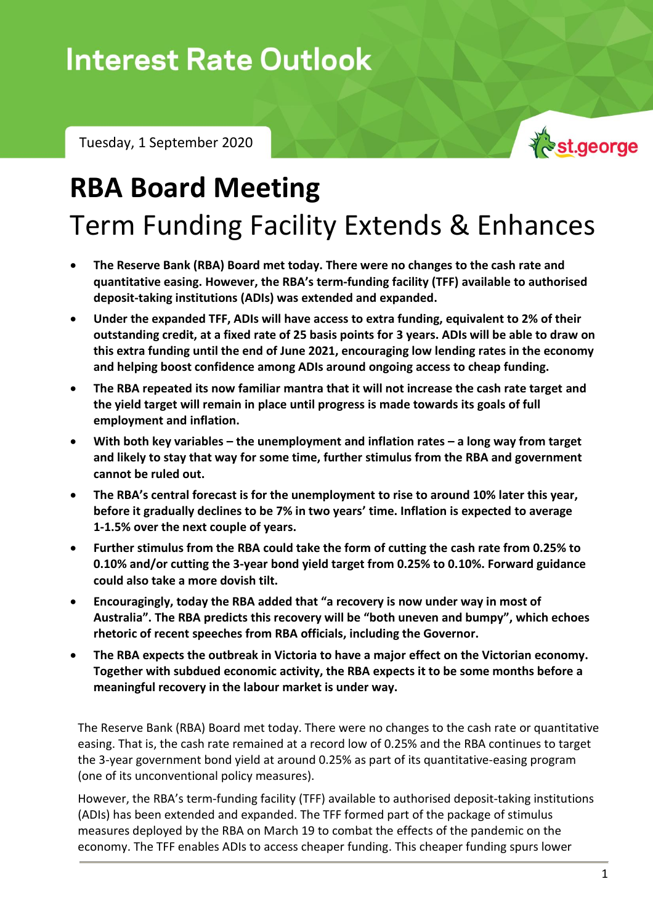## **Interest Rate Outlook**

Tuesday, 1 September 2020

# st.george

## **RBA Board Meeting** Term Funding Facility Extends & Enhances

- **The Reserve Bank (RBA) Board met today. There were no changes to the cash rate and quantitative easing. However, the RBA's term-funding facility (TFF) available to authorised deposit-taking institutions (ADIs) was extended and expanded.**
- **Under the expanded TFF, ADIs will have access to extra funding, equivalent to 2% of their outstanding credit, at a fixed rate of 25 basis points for 3 years. ADIs will be able to draw on this extra funding until the end of June 2021, encouraging low lending rates in the economy and helping boost confidence among ADIs around ongoing access to cheap funding.**
- **The RBA repeated its now familiar mantra that it will not increase the cash rate target and the yield target will remain in place until progress is made towards its goals of full employment and inflation.**
- **With both key variables – the unemployment and inflation rates – a long way from target and likely to stay that way for some time, further stimulus from the RBA and government cannot be ruled out.**
- **The RBA's central forecast is for the unemployment to rise to around 10% later this year, before it gradually declines to be 7% in two years' time. Inflation is expected to average 1-1.5% over the next couple of years.**
- **Further stimulus from the RBA could take the form of cutting the cash rate from 0.25% to 0.10% and/or cutting the 3-year bond yield target from 0.25% to 0.10%. Forward guidance could also take a more dovish tilt.**
- **Encouragingly, today the RBA added that "a recovery is now under way in most of Australia". The RBA predicts this recovery will be "both uneven and bumpy", which echoes rhetoric of recent speeches from RBA officials, including the Governor.**
- **The RBA expects the outbreak in Victoria to have a major effect on the Victorian economy. Together with subdued economic activity, the RBA expects it to be some months before a meaningful recovery in the labour market is under way.**

The Reserve Bank (RBA) Board met today. There were no changes to the cash rate or quantitative easing. That is, the cash rate remained at a record low of 0.25% and the RBA continues to target the 3-year government bond yield at around 0.25% as part of its quantitative-easing program (one of its unconventional policy measures).

However, the RBA's term-funding facility (TFF) available to authorised deposit-taking institutions (ADIs) has been extended and expanded. The TFF formed part of the package of stimulus measures deployed by the RBA on March 19 to combat the effects of the pandemic on the economy. The TFF enables ADIs to access cheaper funding. This cheaper funding spurs lower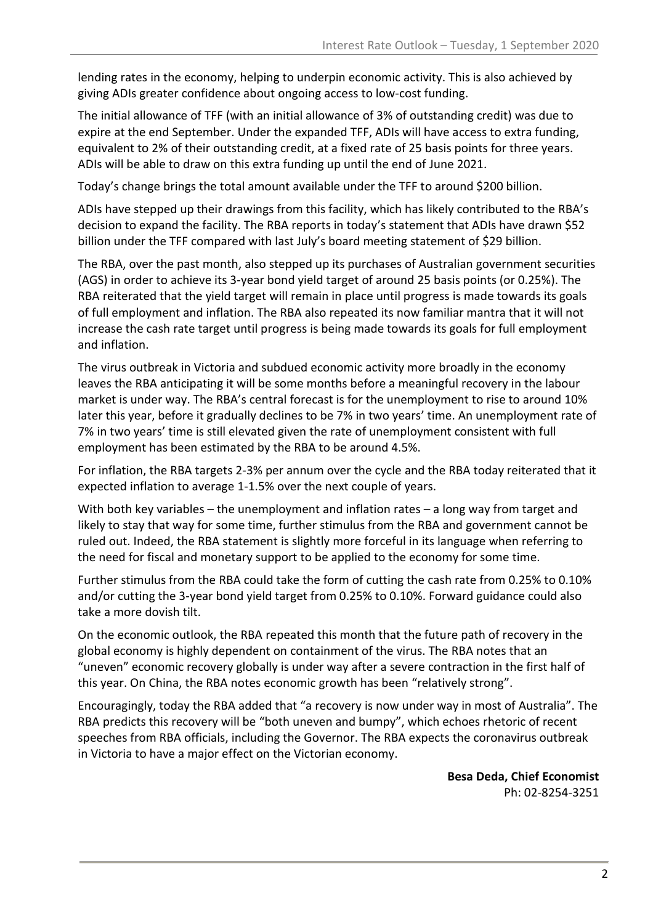lending rates in the economy, helping to underpin economic activity. This is also achieved by giving ADIs greater confidence about ongoing access to low-cost funding.

The initial allowance of TFF (with an initial allowance of 3% of outstanding credit) was due to expire at the end September. Under the expanded TFF, ADIs will have access to extra funding, equivalent to 2% of their outstanding credit, at a fixed rate of 25 basis points for three years. ADIs will be able to draw on this extra funding up until the end of June 2021.

Today's change brings the total amount available under the TFF to around \$200 billion.

ADIs have stepped up their drawings from this facility, which has likely contributed to the RBA's decision to expand the facility. The RBA reports in today's statement that ADIs have drawn \$52 billion under the TFF compared with last July's board meeting statement of \$29 billion.

The RBA, over the past month, also stepped up its purchases of Australian government securities (AGS) in order to achieve its 3-year bond yield target of around 25 basis points (or 0.25%). The RBA reiterated that the yield target will remain in place until progress is made towards its goals of full employment and inflation. The RBA also repeated its now familiar mantra that it will not increase the cash rate target until progress is being made towards its goals for full employment and inflation.

The virus outbreak in Victoria and subdued economic activity more broadly in the economy leaves the RBA anticipating it will be some months before a meaningful recovery in the labour market is under way. The RBA's central forecast is for the unemployment to rise to around 10% later this year, before it gradually declines to be 7% in two years' time. An unemployment rate of 7% in two years' time is still elevated given the rate of unemployment consistent with full employment has been estimated by the RBA to be around 4.5%.

For inflation, the RBA targets 2-3% per annum over the cycle and the RBA today reiterated that it expected inflation to average 1-1.5% over the next couple of years.

With both key variables – the unemployment and inflation rates – a long way from target and likely to stay that way for some time, further stimulus from the RBA and government cannot be ruled out. Indeed, the RBA statement is slightly more forceful in its language when referring to the need for fiscal and monetary support to be applied to the economy for some time.

Further stimulus from the RBA could take the form of cutting the cash rate from 0.25% to 0.10% and/or cutting the 3-year bond yield target from 0.25% to 0.10%. Forward guidance could also take a more dovish tilt.

On the economic outlook, the RBA repeated this month that the future path of recovery in the global economy is highly dependent on containment of the virus. The RBA notes that an "uneven" economic recovery globally is under way after a severe contraction in the first half of this year. On China, the RBA notes economic growth has been "relatively strong".

Encouragingly, today the RBA added that "a recovery is now under way in most of Australia". The RBA predicts this recovery will be "both uneven and bumpy", which echoes rhetoric of recent speeches from RBA officials, including the Governor. The RBA expects the coronavirus outbreak in Victoria to have a major effect on the Victorian economy.

> **Besa Deda, Chief Economist** Ph: 02-8254-3251